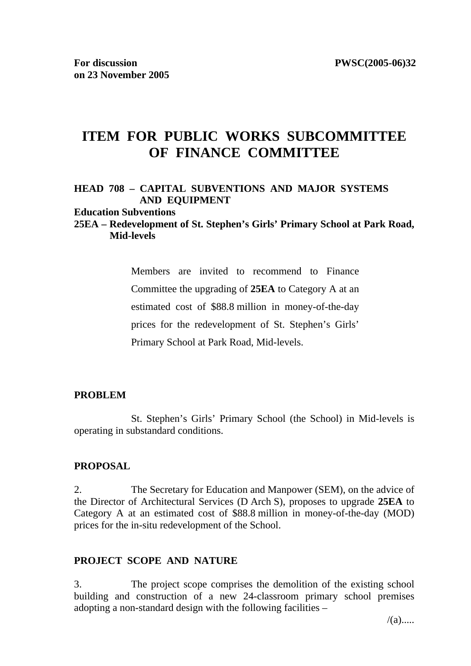# **ITEM FOR PUBLIC WORKS SUBCOMMITTEE OF FINANCE COMMITTEE**

### **HEAD 708 – CAPITAL SUBVENTIONS AND MAJOR SYSTEMS AND EQUIPMENT**

#### **Education Subventions**

### **25EA – Redevelopment of St. Stephen's Girls' Primary School at Park Road, Mid-levels**

Members are invited to recommend to Finance Committee the upgrading of **25EA** to Category A at an estimated cost of \$88.8 million in money-of-the-day prices for the redevelopment of St. Stephen's Girls' Primary School at Park Road, Mid-levels.

#### **PROBLEM**

St. Stephen's Girls' Primary School (the School) in Mid-levels is operating in substandard conditions.

#### **PROPOSAL**

2. The Secretary for Education and Manpower (SEM), on the advice of the Director of Architectural Services (D Arch S), proposes to upgrade **25EA** to Category A at an estimated cost of \$88.8 million in money-of-the-day (MOD) prices for the in-situ redevelopment of the School.

#### **PROJECT SCOPE AND NATURE**

3. The project scope comprises the demolition of the existing school building and construction of a new 24-classroom primary school premises adopting a non-standard design with the following facilities –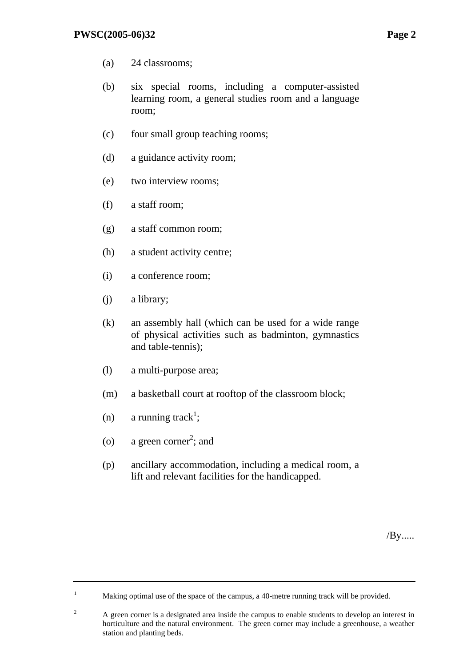- (a) 24 classrooms;
- (b) six special rooms, including a computer-assisted learning room, a general studies room and a language room;
- (c) four small group teaching rooms;
- (d) a guidance activity room;
- (e) two interview rooms;
- (f) a staff room;
- (g) a staff common room;
- (h) a student activity centre;
- (i) a conference room;
- (j) a library;
- (k) an assembly hall (which can be used for a wide range of physical activities such as badminton, gymnastics and table-tennis);
- (l) a multi-purpose area;
- (m) a basketball court at rooftop of the classroom block;
- (n) a running track<sup>1</sup>;

1

- (o) a green corner<sup>2</sup>; and
- (p) ancillary accommodation, including a medical room, a lift and relevant facilities for the handicapped.

/By.....

Making optimal use of the space of the campus, a 40-metre running track will be provided.

<sup>2</sup> A green corner is a designated area inside the campus to enable students to develop an interest in horticulture and the natural environment. The green corner may include a greenhouse, a weather station and planting beds.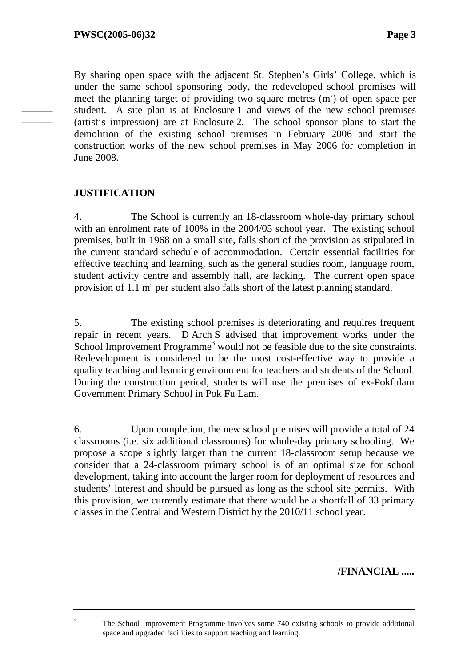**——— ———**

By sharing open space with the adjacent St. Stephen's Girls' College, which is under the same school sponsoring body, the redeveloped school premises will meet the planning target of providing two square metres  $(m<sup>2</sup>)$  of open space per student. A site plan is at Enclosure 1 and views of the new school premises (artist's impression) are at Enclosure 2. The school sponsor plans to start the demolition of the existing school premises in February 2006 and start the construction works of the new school premises in May 2006 for completion in June 2008.

# **JUSTIFICATION**

4. The School is currently an 18-classroom whole-day primary school with an enrolment rate of 100% in the 2004/05 school year. The existing school premises, built in 1968 on a small site, falls short of the provision as stipulated in the current standard schedule of accommodation. Certain essential facilities for effective teaching and learning, such as the general studies room, language room, student activity centre and assembly hall, are lacking. The current open space provision of  $1.1 \text{ m}^2$  per student also falls short of the latest planning standard.

5. The existing school premises is deteriorating and requires frequent repair in recent years. D Arch S advised that improvement works under the School Improvement Programme<sup>3</sup> would not be feasible due to the site constraints. Redevelopment is considered to be the most cost-effective way to provide a quality teaching and learning environment for teachers and students of the School. During the construction period, students will use the premises of ex-Pokfulam Government Primary School in Pok Fu Lam.

6. Upon completion, the new school premises will provide a total of 24 classrooms (i.e. six additional classrooms) for whole-day primary schooling. We propose a scope slightly larger than the current 18-classroom setup because we consider that a 24-classroom primary school is of an optimal size for school development, taking into account the larger room for deployment of resources and students' interest and should be pursued as long as the school site permits. With this provision, we currently estimate that there would be a shortfall of 33 primary classes in the Central and Western District by the 2010/11 school year.

**/FINANCIAL .....** 

 The School Improvement Programme involves some 740 existing schools to provide additional space and upgraded facilities to support teaching and learning.

3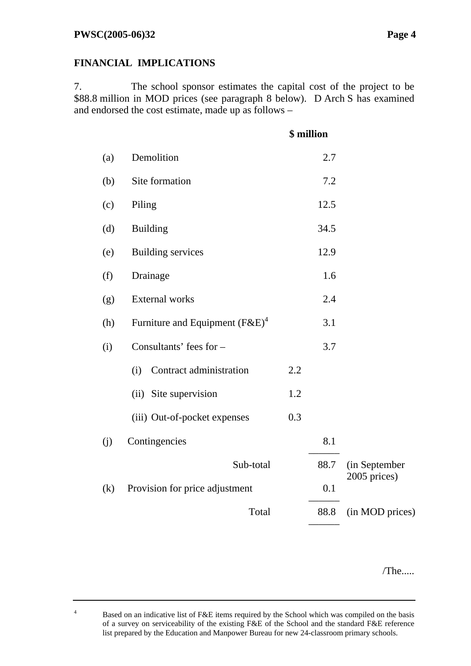4

# **FINANCIAL IMPLICATIONS**

7. The school sponsor estimates the capital cost of the project to be \$88.8 million in MOD prices (see paragraph 8 below). D Arch S has examined and endorsed the cost estimate, made up as follows –

|     |                                   |     | \$ million |                 |
|-----|-----------------------------------|-----|------------|-----------------|
| (a) | Demolition                        |     | 2.7        |                 |
| (b) | Site formation                    |     | 7.2        |                 |
| (c) | Piling                            |     | 12.5       |                 |
| (d) | <b>Building</b>                   |     | 34.5       |                 |
| (e) | <b>Building services</b>          |     | 12.9       |                 |
| (f) | Drainage                          |     | 1.6        |                 |
| (g) | <b>External works</b>             |     | 2.4        |                 |
| (h) | Furniture and Equipment $(F&E)^4$ |     | 3.1        |                 |
| (i) | Consultants' fees for -           |     | 3.7        |                 |
|     | Contract administration<br>(i)    | 2.2 |            |                 |
|     | Site supervision<br>(ii)          | 1.2 |            |                 |
|     | (iii) Out-of-pocket expenses      | 0.3 |            |                 |
| (i) | Contingencies                     |     | 8.1        |                 |
|     | Sub-total                         |     | 88.7       | (in September   |
| (k) | Provision for price adjustment    |     | 0.1        | 2005 prices)    |
|     | Total                             |     | 88.8       | (in MOD prices) |
|     |                                   |     |            |                 |

/The.....

Based on an indicative list of F&E items required by the School which was compiled on the basis of a survey on serviceability of the existing F&E of the School and the standard F&E reference list prepared by the Education and Manpower Bureau for new 24-classroom primary schools.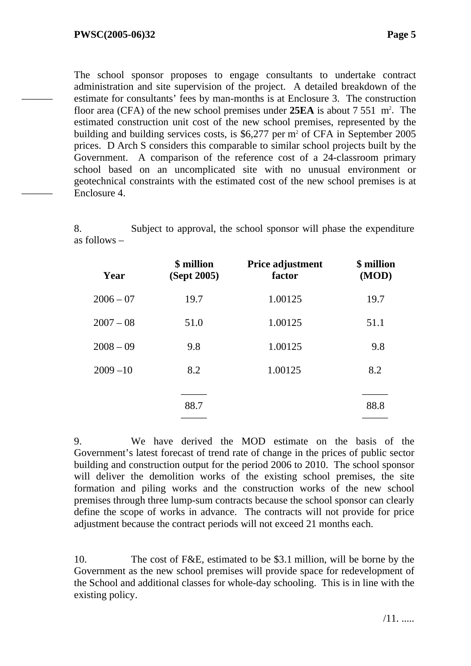––––––

––––––

The school sponsor proposes to engage consultants to undertake contract administration and site supervision of the project. A detailed breakdown of the estimate for consultants' fees by man-months is at Enclosure 3. The construction floor area (CFA) of the new school premises under **25EA** is about 7 551 m<sup>2</sup>. The estimated construction unit cost of the new school premises, represented by the building and building services costs, is  $$6,277$  per m<sup>2</sup> of CFA in September 2005 prices. D Arch S considers this comparable to similar school projects built by the Government. A comparison of the reference cost of a 24-classroom primary school based on an uncomplicated site with no unusual environment or geotechnical constraints with the estimated cost of the new school premises is at Enclosure 4.

8. Subject to approval, the school sponsor will phase the expenditure as follows –

| Year        | \$ million<br>(Sept 2005) | <b>Price adjustment</b><br>factor | \$ million<br>(MOD) |
|-------------|---------------------------|-----------------------------------|---------------------|
| $2006 - 07$ | 19.7                      | 1.00125                           | 19.7                |
| $2007 - 08$ | 51.0                      | 1.00125                           | 51.1                |
| $2008 - 09$ | 9.8                       | 1.00125                           | 9.8                 |
| $2009 - 10$ | 8.2                       | 1.00125                           | 8.2                 |
|             |                           |                                   |                     |
|             | 88.7                      |                                   | 88.8                |

9. We have derived the MOD estimate on the basis of the Government's latest forecast of trend rate of change in the prices of public sector building and construction output for the period 2006 to 2010. The school sponsor will deliver the demolition works of the existing school premises, the site formation and piling works and the construction works of the new school premises through three lump-sum contracts because the school sponsor can clearly define the scope of works in advance. The contracts will not provide for price adjustment because the contract periods will not exceed 21 months each.

10. The cost of F&E, estimated to be \$3.1 million, will be borne by the Government as the new school premises will provide space for redevelopment of the School and additional classes for whole-day schooling. This is in line with the existing policy.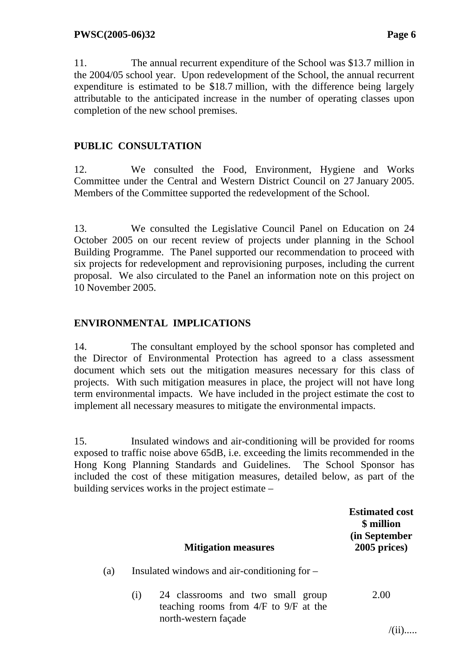11. The annual recurrent expenditure of the School was \$13.7 million in the 2004/05 school year. Upon redevelopment of the School, the annual recurrent expenditure is estimated to be \$18.7 million, with the difference being largely attributable to the anticipated increase in the number of operating classes upon completion of the new school premises.

# **PUBLIC CONSULTATION**

12. We consulted the Food, Environment, Hygiene and Works Committee under the Central and Western District Council on 27 January 2005. Members of the Committee supported the redevelopment of the School.

13. We consulted the Legislative Council Panel on Education on 24 October 2005 on our recent review of projects under planning in the School Building Programme. The Panel supported our recommendation to proceed with six projects for redevelopment and reprovisioning purposes, including the current proposal. We also circulated to the Panel an information note on this project on 10 November 2005.

# **ENVIRONMENTAL IMPLICATIONS**

14. The consultant employed by the school sponsor has completed and the Director of Environmental Protection has agreed to a class assessment document which sets out the mitigation measures necessary for this class of projects. With such mitigation measures in place, the project will not have long term environmental impacts. We have included in the project estimate the cost to implement all necessary measures to mitigate the environmental impacts.

15. Insulated windows and air-conditioning will be provided for rooms exposed to traffic noise above 65dB, i.e. exceeding the limits recommended in the Hong Kong Planning Standards and Guidelines. The School Sponsor has included the cost of these mitigation measures, detailed below, as part of the building services works in the project estimate –

|     |     | <b>Mitigation measures</b>                                                                             | <b>Estimated cost</b><br>\$ million<br>(in September<br>2005 prices) |
|-----|-----|--------------------------------------------------------------------------------------------------------|----------------------------------------------------------------------|
| (a) |     | Insulated windows and air-conditioning for –                                                           |                                                                      |
|     | (i) | 24 classrooms and two small group<br>teaching rooms from $4/F$ to $9/F$ at the<br>north-western façade | 2.00                                                                 |
|     |     |                                                                                                        |                                                                      |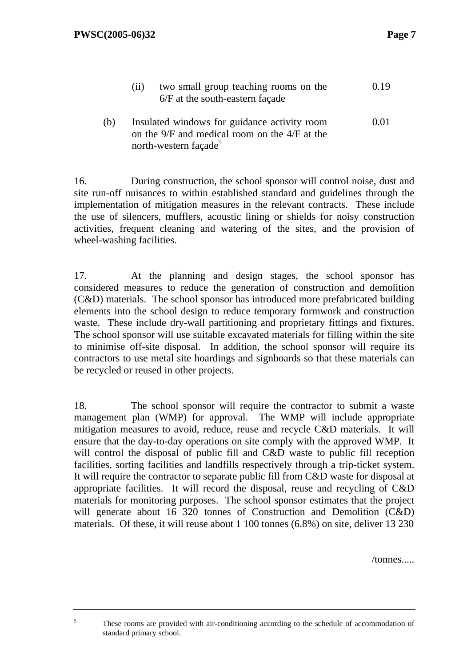|     | two small group teaching rooms on the<br>(11)<br>6/F at the south-eastern façade                                                   | 0.19 |
|-----|------------------------------------------------------------------------------------------------------------------------------------|------|
| (b) | Insulated windows for guidance activity room<br>on the 9/F and medical room on the 4/F at the<br>north-western façade <sup>5</sup> | 0.01 |

16. During construction, the school sponsor will control noise, dust and site run-off nuisances to within established standard and guidelines through the implementation of mitigation measures in the relevant contracts. These include the use of silencers, mufflers, acoustic lining or shields for noisy construction activities, frequent cleaning and watering of the sites, and the provision of wheel-washing facilities.

17. At the planning and design stages, the school sponsor has considered measures to reduce the generation of construction and demolition (C&D) materials. The school sponsor has introduced more prefabricated building elements into the school design to reduce temporary formwork and construction waste. These include dry-wall partitioning and proprietary fittings and fixtures. The school sponsor will use suitable excavated materials for filling within the site to minimise off-site disposal. In addition, the school sponsor will require its contractors to use metal site hoardings and signboards so that these materials can be recycled or reused in other projects.

18. The school sponsor will require the contractor to submit a waste management plan (WMP) for approval. The WMP will include appropriate mitigation measures to avoid, reduce, reuse and recycle C&D materials. It will ensure that the day-to-day operations on site comply with the approved WMP. It will control the disposal of public fill and C&D waste to public fill reception facilities, sorting facilities and landfills respectively through a trip-ticket system. It will require the contractor to separate public fill from C&D waste for disposal at appropriate facilities. It will record the disposal, reuse and recycling of C&D materials for monitoring purposes. The school sponsor estimates that the project will generate about 16 320 tonnes of Construction and Demolition (C&D) materials. Of these, it will reuse about 1 100 tonnes (6.8%) on site, deliver 13 230

/tonnes.....

5

These rooms are provided with air-conditioning according to the schedule of accommodation of standard primary school.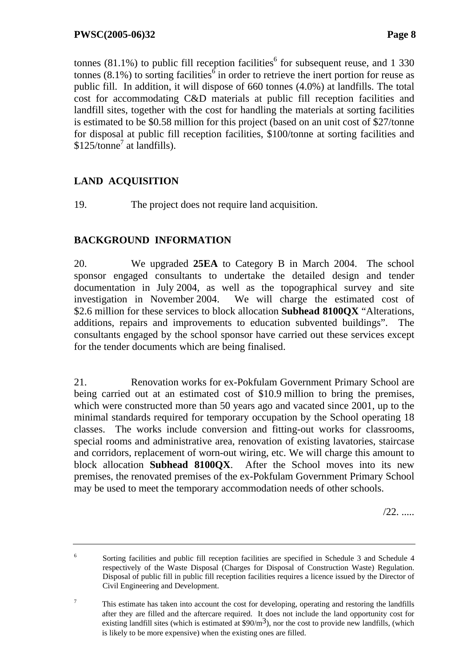tonnes (81.1%) to public fill reception facilities<sup>6</sup> for subsequent reuse, and 1 330 tonnes (8.1%) to sorting facilities<sup>6</sup> in order to retrieve the inert portion for reuse as public fill. In addition, it will dispose of 660 tonnes (4.0%) at landfills. The total cost for accommodating C&D materials at public fill reception facilities and landfill sites, together with the cost for handling the materials at sorting facilities is estimated to be \$0.58 million for this project (based on an unit cost of \$27/tonne for disposal at public fill reception facilities, \$100/tonne at sorting facilities and  $$125$ /tonne<sup>7</sup> at landfills).

# **LAND ACQUISITION**

19. The project does not require land acquisition.

# **BACKGROUND INFORMATION**

20. We upgraded **25EA** to Category B in March 2004. The school sponsor engaged consultants to undertake the detailed design and tender documentation in July 2004, as well as the topographical survey and site investigation in November 2004. We will charge the estimated cost of \$2.6 million for these services to block allocation **Subhead 8100QX** "Alterations, additions, repairs and improvements to education subvented buildings". The consultants engaged by the school sponsor have carried out these services except for the tender documents which are being finalised.

21. Renovation works for ex-Pokfulam Government Primary School are being carried out at an estimated cost of \$10.9 million to bring the premises, which were constructed more than 50 years ago and vacated since 2001, up to the minimal standards required for temporary occupation by the School operating 18 classes. The works include conversion and fitting-out works for classrooms, special rooms and administrative area, renovation of existing lavatories, staircase and corridors, replacement of worn-out wiring, etc. We will charge this amount to block allocation **Subhead 8100QX**. After the School moves into its new premises, the renovated premises of the ex-Pokfulam Government Primary School may be used to meet the temporary accommodation needs of other schools.

/22. .....

<sup>6</sup> Sorting facilities and public fill reception facilities are specified in Schedule 3 and Schedule 4 respectively of the Waste Disposal (Charges for Disposal of Construction Waste) Regulation. Disposal of public fill in public fill reception facilities requires a licence issued by the Director of Civil Engineering and Development.

<sup>7</sup> This estimate has taken into account the cost for developing, operating and restoring the landfills after they are filled and the aftercare required. It does not include the land opportunity cost for existing landfill sites (which is estimated at  $\frac{90}{m^3}$ ), nor the cost to provide new landfills, (which is likely to be more expensive) when the existing ones are filled.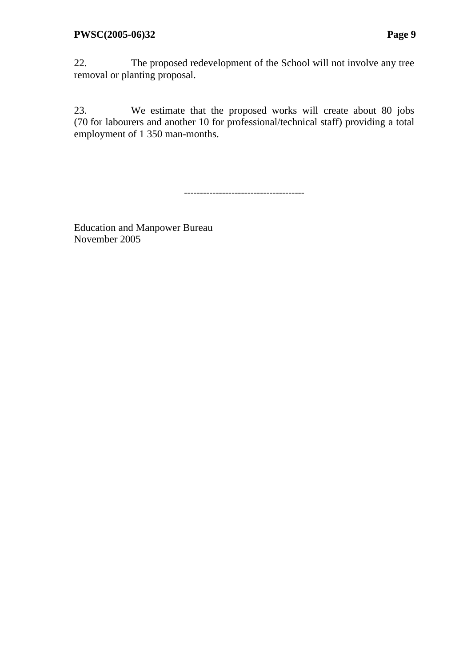22. The proposed redevelopment of the School will not involve any tree removal or planting proposal.

23. We estimate that the proposed works will create about 80 jobs (70 for labourers and another 10 for professional/technical staff) providing a total employment of 1 350 man-months.

--------------------------------------

Education and Manpower Bureau November 2005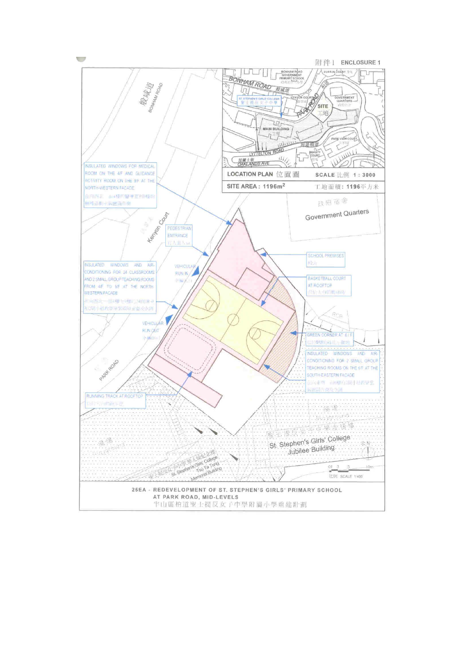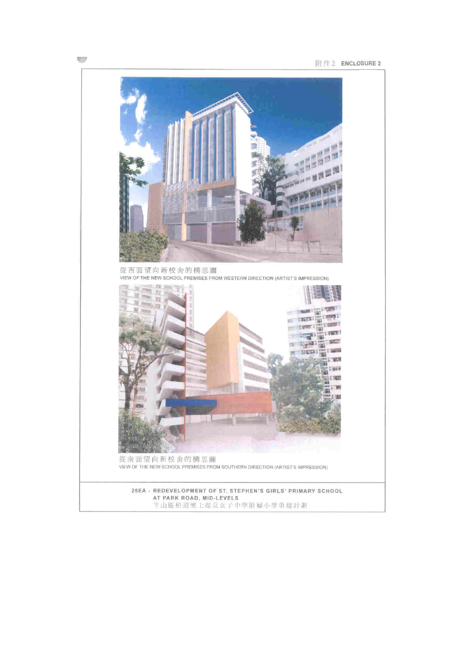

 $\overline{\phantom{a}}$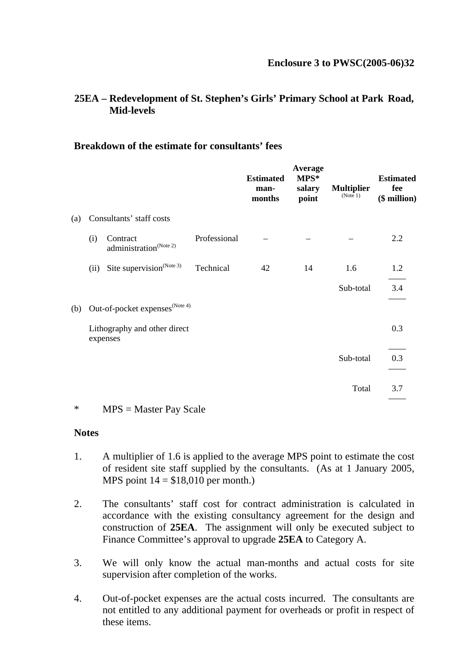# **25EA – Redevelopment of St. Stephen's Girls' Primary School at Park Road, Mid-levels**

### **Breakdown of the estimate for consultants' fees**

|     |      |                                                |              | <b>Estimated</b><br>man-<br>months | Average<br>$MPS^*$<br>salary<br>point | <b>Multiplier</b><br>(Note 1) | <b>Estimated</b><br>fee<br>$($$ million $)$ |
|-----|------|------------------------------------------------|--------------|------------------------------------|---------------------------------------|-------------------------------|---------------------------------------------|
| (a) |      | Consultants' staff costs                       |              |                                    |                                       |                               |                                             |
|     | (i)  | Contract<br>administration <sup>(Note 2)</sup> | Professional |                                    |                                       |                               | 2.2                                         |
|     | (ii) | Site supervision <sup>(Note 3)</sup>           | Technical    | 42                                 | 14                                    | 1.6                           | 1.2                                         |
|     |      |                                                |              |                                    |                                       | Sub-total                     | 3.4                                         |
| (b) |      | Out-of-pocket expenses <sup>(Note 4)</sup>     |              |                                    |                                       |                               |                                             |
|     |      | Lithography and other direct<br>expenses       |              |                                    |                                       |                               | 0.3                                         |
|     |      |                                                |              |                                    |                                       | Sub-total                     | 0.3                                         |
|     |      |                                                |              |                                    |                                       | Total                         | 3.7                                         |

\* MPS = Master Pay Scale

#### **Notes**

- 1. A multiplier of 1.6 is applied to the average MPS point to estimate the cost of resident site staff supplied by the consultants. (As at 1 January 2005, MPS point  $14 = $18,010$  per month.)
- 2. The consultants' staff cost for contract administration is calculated in accordance with the existing consultancy agreement for the design and construction of **25EA**. The assignment will only be executed subject to Finance Committee's approval to upgrade **25EA** to Category A.
- 3. We will only know the actual man-months and actual costs for site supervision after completion of the works.
- 4. Out-of-pocket expenses are the actual costs incurred. The consultants are not entitled to any additional payment for overheads or profit in respect of these items.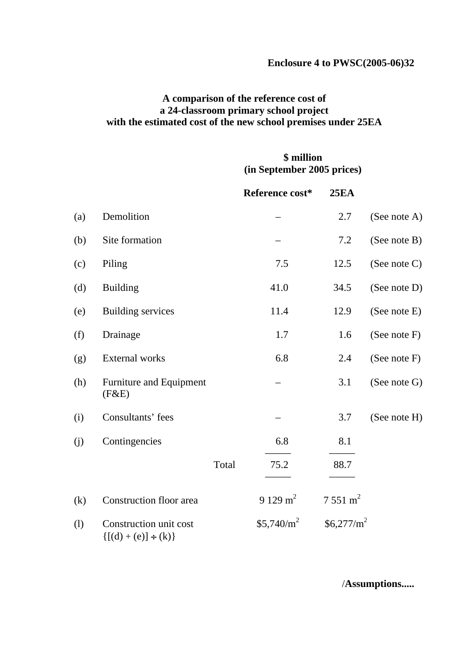### **Enclosure 4 to PWSC(2005-06)32**

# **A comparison of the reference cost of a 24-classroom primary school project with the estimated cost of the new school premises under 25EA**

# **\$ million (in September 2005 prices)**

|     |                                                        |       | Reference cost* | <b>25EA</b>        |                 |
|-----|--------------------------------------------------------|-------|-----------------|--------------------|-----------------|
| (a) | Demolition                                             |       |                 | 2.7                | (See note A)    |
| (b) | Site formation                                         |       |                 | 7.2                | (See note B)    |
| (c) | Piling                                                 |       | 7.5             | 12.5               | (See note C)    |
| (d) | <b>Building</b>                                        |       | 41.0            | 34.5               | (See note D)    |
| (e) | <b>Building services</b>                               |       | 11.4            | 12.9               | (See note E)    |
| (f) | Drainage                                               |       | 1.7             | 1.6                | (See note $F$ ) |
| (g) | <b>External</b> works                                  |       | 6.8             | 2.4                | (See note $F$ ) |
| (h) | Furniture and Equipment<br>(F&E)                       |       |                 | 3.1                | (See note G)    |
| (i) | Consultants' fees                                      |       |                 | 3.7                | (See note H)    |
| (j) | Contingencies                                          |       | 6.8             | 8.1                |                 |
|     |                                                        | Total | 75.2            | 88.7               |                 |
| (k) | Construction floor area                                |       | 9 129 $m^2$     | $7551 \text{ m}^2$ |                 |
| (1) | Construction unit cost<br>$\{ [(d) + (e)] \div (k) \}$ |       | $$5,740/m^2$    | $$6,277/m^2$       |                 |

/**Assumptions.....**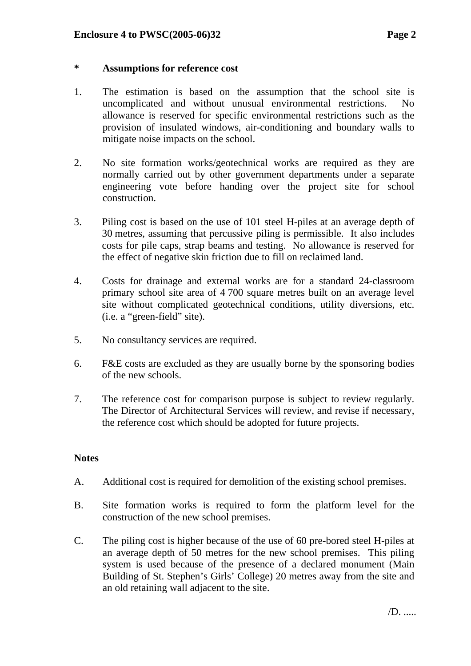### **\* Assumptions for reference cost**

- 1. The estimation is based on the assumption that the school site is uncomplicated and without unusual environmental restrictions. No allowance is reserved for specific environmental restrictions such as the provision of insulated windows, air-conditioning and boundary walls to mitigate noise impacts on the school.
- 2. No site formation works/geotechnical works are required as they are normally carried out by other government departments under a separate engineering vote before handing over the project site for school construction.
- 3. Piling cost is based on the use of 101 steel H-piles at an average depth of 30 metres, assuming that percussive piling is permissible. It also includes costs for pile caps, strap beams and testing. No allowance is reserved for the effect of negative skin friction due to fill on reclaimed land.
- 4. Costs for drainage and external works are for a standard 24-classroom primary school site area of 4 700 square metres built on an average level site without complicated geotechnical conditions, utility diversions, etc. (i.e. a "green-field" site).
- 5. No consultancy services are required.
- 6. F&E costs are excluded as they are usually borne by the sponsoring bodies of the new schools.
- 7. The reference cost for comparison purpose is subject to review regularly. The Director of Architectural Services will review, and revise if necessary, the reference cost which should be adopted for future projects.

#### **Notes**

- A. Additional cost is required for demolition of the existing school premises.
- B. Site formation works is required to form the platform level for the construction of the new school premises.
- C. The piling cost is higher because of the use of 60 pre-bored steel H-piles at an average depth of 50 metres for the new school premises. This piling system is used because of the presence of a declared monument (Main Building of St. Stephen's Girls' College) 20 metres away from the site and an old retaining wall adjacent to the site.